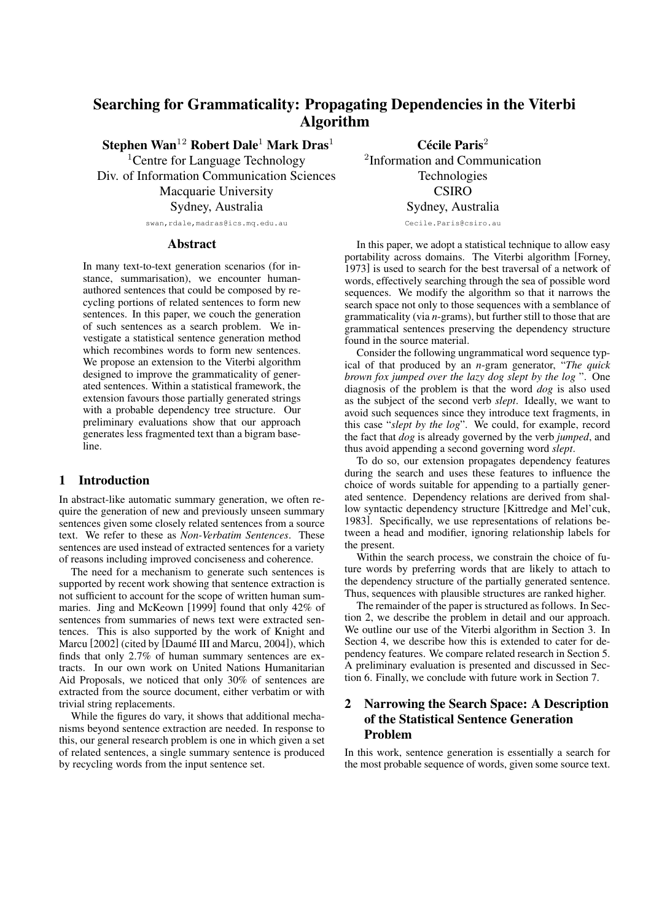# **Searching for Grammaticality: Propagating Dependencies in the Viterbi Algorithm**

**Stephen Wan**<sup>12</sup> **Robert Dale**<sup>1</sup> **Mark Dras**<sup>1</sup>

<sup>1</sup>Centre for Language Technology Div. of Information Communication Sciences Macquarie University Sydney, Australia

swan,rdale,madras@ics.mq.edu.au

### **Abstract**

In many text-to-text generation scenarios (for instance, summarisation), we encounter humanauthored sentences that could be composed by recycling portions of related sentences to form new sentences. In this paper, we couch the generation of such sentences as a search problem. We investigate a statistical sentence generation method which recombines words to form new sentences. We propose an extension to the Viterbi algorithm designed to improve the grammaticality of generated sentences. Within a statistical framework, the extension favours those partially generated strings with a probable dependency tree structure. Our preliminary evaluations show that our approach generates less fragmented text than a bigram baseline.

## **1 Introduction**

In abstract-like automatic summary generation, we often require the generation of new and previously unseen summary sentences given some closely related sentences from a source text. We refer to these as *Non-Verbatim Sentences*. These sentences are used instead of extracted sentences for a variety of reasons including improved conciseness and coherence.

The need for a mechanism to generate such sentences is supported by recent work showing that sentence extraction is not sufficient to account for the scope of written human summaries. Jing and McKeown [1999] found that only 42% of sentences from summaries of news text were extracted sentences. This is also supported by the work of Knight and Marcu [2002] (cited by [Daumé III and Marcu, 2004]), which finds that only 2.7% of human summary sentences are extracts. In our own work on United Nations Humanitarian Aid Proposals, we noticed that only 30% of sentences are extracted from the source document, either verbatim or with trivial string replacements.

While the figures do vary, it shows that additional mechanisms beyond sentence extraction are needed. In response to this, our general research problem is one in which given a set of related sentences, a single summary sentence is produced by recycling words from the input sentence set.

2 Information and Communication Technologies **CSIRO** Sydney, Australia

Cecile.Paris@csiro.au

In this paper, we adopt a statistical technique to allow easy portability across domains. The Viterbi algorithm [Forney, 1973] is used to search for the best traversal of a network of words, effectively searching through the sea of possible word sequences. We modify the algorithm so that it narrows the search space not only to those sequences with a semblance of grammaticality (via *n*-grams), but further still to those that are grammatical sentences preserving the dependency structure found in the source material.

Consider the following ungrammatical word sequence typical of that produced by an *n*-gram generator, "*The quick brown fox jumped over the lazy dog slept by the log* ". One diagnosis of the problem is that the word *dog* is also used as the subject of the second verb *slept*. Ideally, we want to avoid such sequences since they introduce text fragments, in this case "*slept by the log*". We could, for example, record the fact that *dog* is already governed by the verb *jumped*, and thus avoid appending a second governing word *slept*.

To do so, our extension propagates dependency features during the search and uses these features to influence the choice of words suitable for appending to a partially generated sentence. Dependency relations are derived from shallow syntactic dependency structure [Kittredge and Mel'cuk, 1983]. Specifically, we use representations of relations between a head and modifier, ignoring relationship labels for the present.

Within the search process, we constrain the choice of future words by preferring words that are likely to attach to the dependency structure of the partially generated sentence. Thus, sequences with plausible structures are ranked higher.

The remainder of the paper is structured as follows. In Section 2, we describe the problem in detail and our approach. We outline our use of the Viterbi algorithm in Section 3. In Section 4, we describe how this is extended to cater for dependency features. We compare related research in Section 5. A preliminary evaluation is presented and discussed in Section 6. Finally, we conclude with future work in Section 7.

## **2 Narrowing the Search Space: A Description of the Statistical Sentence Generation Problem**

In this work, sentence generation is essentially a search for the most probable sequence of words, given some source text.

**Cecile ´ Paris**<sup>2</sup>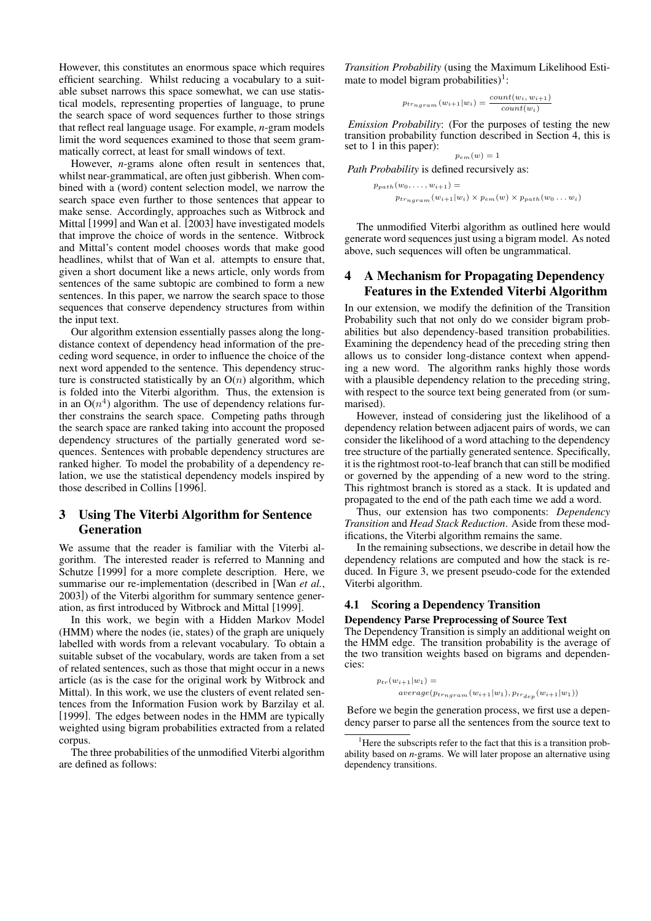However, this constitutes an enormous space which requires efficient searching. Whilst reducing a vocabulary to a suitable subset narrows this space somewhat, we can use statistical models, representing properties of language, to prune the search space of word sequences further to those strings that reflect real language usage. For example, *n*-gram models limit the word sequences examined to those that seem grammatically correct, at least for small windows of text.

However, *n*-grams alone often result in sentences that, whilst near-grammatical, are often just gibberish. When combined with a (word) content selection model, we narrow the search space even further to those sentences that appear to make sense. Accordingly, approaches such as Witbrock and Mittal [1999] and Wan et al. [2003] have investigated models that improve the choice of words in the sentence. Witbrock and Mittal's content model chooses words that make good headlines, whilst that of Wan et al. attempts to ensure that, given a short document like a news article, only words from sentences of the same subtopic are combined to form a new sentences. In this paper, we narrow the search space to those sequences that conserve dependency structures from within the input text.

Our algorithm extension essentially passes along the longdistance context of dependency head information of the preceding word sequence, in order to influence the choice of the next word appended to the sentence. This dependency structure is constructed statistically by an  $O(n)$  algorithm, which is folded into the Viterbi algorithm. Thus, the extension is in an  $O(n^4)$  algorithm. The use of dependency relations further constrains the search space. Competing paths through the search space are ranked taking into account the proposed dependency structures of the partially generated word sequences. Sentences with probable dependency structures are ranked higher. To model the probability of a dependency relation, we use the statistical dependency models inspired by those described in Collins [1996].

## **3 Using The Viterbi Algorithm for Sentence Generation**

We assume that the reader is familiar with the Viterbi algorithm. The interested reader is referred to Manning and Schutze [1999] for a more complete description. Here, we summarise our re-implementation (described in [Wan *et al.*, 2003]) of the Viterbi algorithm for summary sentence generation, as first introduced by Witbrock and Mittal [1999].

In this work, we begin with a Hidden Markov Model (HMM) where the nodes (ie, states) of the graph are uniquely labelled with words from a relevant vocabulary. To obtain a suitable subset of the vocabulary, words are taken from a set of related sentences, such as those that might occur in a news article (as is the case for the original work by Witbrock and Mittal). In this work, we use the clusters of event related sentences from the Information Fusion work by Barzilay et al. [1999]. The edges between nodes in the HMM are typically weighted using bigram probabilities extracted from a related corpus.

The three probabilities of the unmodified Viterbi algorithm are defined as follows:

*Transition Probability* (using the Maximum Likelihood Estimate to model bigram probabilities)<sup>1</sup>:

$$
p_{trngram}(w_{i+1}|w_i) = \frac{count(w_i, w_{i+1})}{count(w_i)}
$$

*Emission Probability*: (For the purposes of testing the new transition probability function described in Section 4, this is set to 1 in this paper):  $p_{em}(w) = 1$ 

*Path Probability* is defined recursively as:

 $p_{path}(w_0, \ldots, w_{i+1}) =$  $p_{tr<sub>normal</sub>}(w_{i+1}|w_i) \times p_{em}(w) \times p_{path}(w_0 \dots w_i)$ 

The unmodified Viterbi algorithm as outlined here would generate word sequences just using a bigram model. As noted above, such sequences will often be ungrammatical.

## **4 A Mechanism for Propagating Dependency Features in the Extended Viterbi Algorithm**

In our extension, we modify the definition of the Transition Probability such that not only do we consider bigram probabilities but also dependency-based transition probabilities. Examining the dependency head of the preceding string then allows us to consider long-distance context when appending a new word. The algorithm ranks highly those words with a plausible dependency relation to the preceding string, with respect to the source text being generated from (or summarised).

However, instead of considering just the likelihood of a dependency relation between adjacent pairs of words, we can consider the likelihood of a word attaching to the dependency tree structure of the partially generated sentence. Specifically, it is the rightmost root-to-leaf branch that can still be modified or governed by the appending of a new word to the string. This rightmost branch is stored as a stack. It is updated and propagated to the end of the path each time we add a word.

Thus, our extension has two components: *Dependency Transition* and *Head Stack Reduction*. Aside from these modifications, the Viterbi algorithm remains the same.

In the remaining subsections, we describe in detail how the dependency relations are computed and how the stack is reduced. In Figure 3, we present pseudo-code for the extended Viterbi algorithm.

## **4.1 Scoring a Dependency Transition**

#### **Dependency Parse Preprocessing of Source Text**

The Dependency Transition is simply an additional weight on the HMM edge. The transition probability is the average of the two transition weights based on bigrams and dependencies:

$$
\begin{aligned} p_{tr}(w_{i+1}|w_1) &= \\ &\quad average(p_{tr_{ngram}}(w_{i+1}|w_1), p_{tr_{dep}}(w_{i+1}|w_1)) \end{aligned}
$$

Before we begin the generation process, we first use a dependency parser to parse all the sentences from the source text to

Here the subscripts refer to the fact that this is a transition probability based on *n*-grams. We will later propose an alternative using dependency transitions.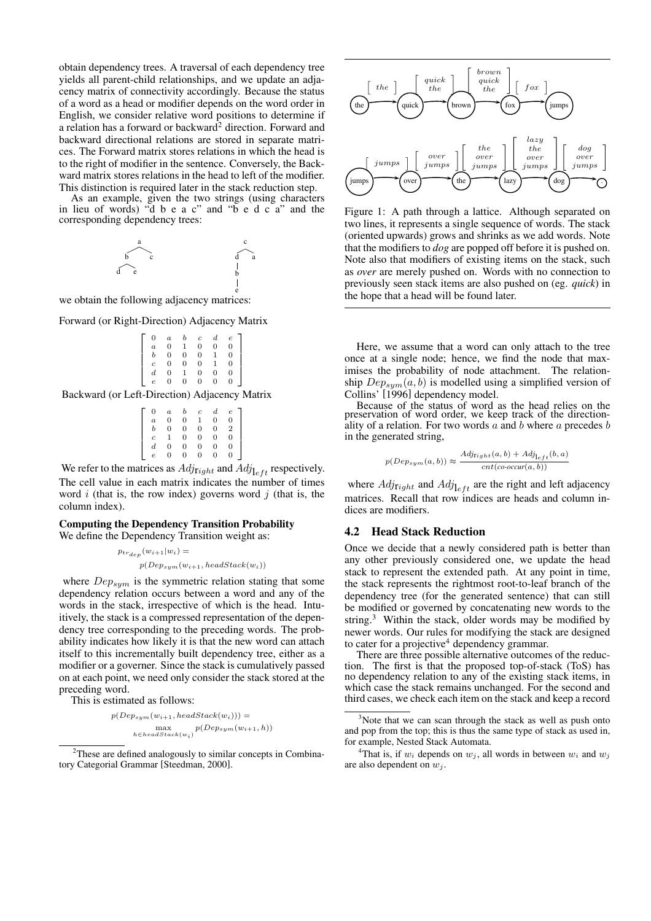obtain dependency trees. A traversal of each dependency tree yields all parent-child relationships, and we update an adjacency matrix of connectivity accordingly. Because the status of a word as a head or modifier depends on the word order in English, we consider relative word positions to determine if a relation has a forward or backward $2$  direction. Forward and backward directional relations are stored in separate matrices. The Forward matrix stores relations in which the head is to the right of modifier in the sentence. Conversely, the Backward matrix stores relations in the head to left of the modifier. This distinction is required later in the stack reduction step.

As an example, given the two strings (using characters in lieu of words) "d b e a c" and "b e d c a" and the corresponding dependency trees:



we obtain the following adjacency matrices:

Forward (or Right-Direction) Adjacency Matrix

| $\Omega$         | $\boldsymbol{a}$ |                | $\boldsymbol{c}$ | $d_{-}$ | e |  |
|------------------|------------------|----------------|------------------|---------|---|--|
| $\overline{a}$   | $\overline{0}$   |                | 0                | 0       |   |  |
| b                | $\overline{0}$   | $\overline{0}$ | $\overline{0}$   |         |   |  |
|                  | $\overline{0}$   | $\overline{0}$ | $\overline{0}$   |         |   |  |
| $\boldsymbol{d}$ | $\overline{0}$   |                | 0                | 0       |   |  |
| $\overline{e}$   |                  | 0              | 0                | 0       |   |  |

Backward (or Left-Direction) Adjacency Matrix

| $\mathbf{0}$     | $\overline{a}$ |          | с | $_{d}$ |   |
|------------------|----------------|----------|---|--------|---|
| $\overline{a}$   | O              | $\Omega$ |   | 0      | O |
| b                | $\Omega$       | $\Omega$ | 0 | 0      | 2 |
|                  |                | $\Omega$ | 0 | 0      | 0 |
| $\boldsymbol{d}$ | $\Omega$       | O        | 0 | 0      | O |
| e                |                | $\Omega$ | 0 | 0      |   |
|                  |                |          |   |        |   |

We refer to the matrices as  $Adj_{\text{light}}$  and  $Adj_{\text{left}}$  respectively. The cell value in each matrix indicates the number of times word  $i$  (that is, the row index) governs word  $j$  (that is, the column index).

## **Computing the Dependency Transition Probability**

We define the Dependency Transition weight as:

$$
p_{tr}_{dep}(w_{i+1}|w_i) =
$$

$$
p(Dep_{sym}(w_{i+1}, headStack(w_i))
$$

where  $Dep_{sum}$  is the symmetric relation stating that some dependency relation occurs between a word and any of the words in the stack, irrespective of which is the head. Intuitively, the stack is a compressed representation of the dependency tree corresponding to the preceding words. The probability indicates how likely it is that the new word can attach itself to this incrementally built dependency tree, either as a modifier or a governer. Since the stack is cumulatively passed on at each point, we need only consider the stack stored at the preceding word.

This is estimated as follows:

$$
p(Dep_{sym}(w_{i+1},headStack(w_i))) = \max_{h \in headStack(w_i)} p(Dep_{sym}(w_{i+1}, h))
$$



Figure 1: A path through a lattice. Although separated on two lines, it represents a single sequence of words. The stack (oriented upwards) grows and shrinks as we add words. Note that the modifiers to *dog* are popped off before it is pushed on. Note also that modifiers of existing items on the stack, such as *over* are merely pushed on. Words with no connection to previously seen stack items are also pushed on (eg. *quick*) in the hope that a head will be found later.

Here, we assume that a word can only attach to the tree once at a single node; hence, we find the node that maximises the probability of node attachment. The relationship  $Dep_{sum}(a, b)$  is modelled using a simplified version of Collins' [1996] dependency model.

Because of the status of word as the head relies on the preservation of word order, we keep track of the directionality of a relation. For two words  $a$  and  $b$  where  $a$  precedes  $b$ in the generated string,

$$
p(Dep_{sym}(a,b)) \approx \frac{Adj_{\text{right}}(a,b) + Adj_{\text{left}}(b,a)}{cnt(co\text{-}occur(a,b))}
$$

where  $Adj_{\text{light}}$  and  $Adj_{\text{l}_{eff}}$  are the right and left adjacency matrices. Recall that row indices are heads and column indices are modifiers.

### **4.2 Head Stack Reduction**

Once we decide that a newly considered path is better than any other previously considered one, we update the head stack to represent the extended path. At any point in time, the stack represents the rightmost root-to-leaf branch of the dependency tree (for the generated sentence) that can still be modified or governed by concatenating new words to the string. $3$  Within the stack, older words may be modified by newer words. Our rules for modifying the stack are designed to cater for a projective <sup>4</sup> dependency grammar.

There are three possible alternative outcomes of the reduction. The first is that the proposed top-of-stack (ToS) has no dependency relation to any of the existing stack items, in which case the stack remains unchanged. For the second and third cases, we check each item on the stack and keep a record

<sup>&</sup>lt;sup>2</sup>These are defined analogously to similar concepts in Combinatory Categorial Grammar [Steedman, 2000].

<sup>&</sup>lt;sup>3</sup>Note that we can scan through the stack as well as push onto and pop from the top; this is thus the same type of stack as used in, for example, Nested Stack Automata.

<sup>&</sup>lt;sup>4</sup>That is, if  $w_i$  depends on  $w_j$ , all words in between  $w_i$  and  $w_j$ are also dependent on  $w_i$ .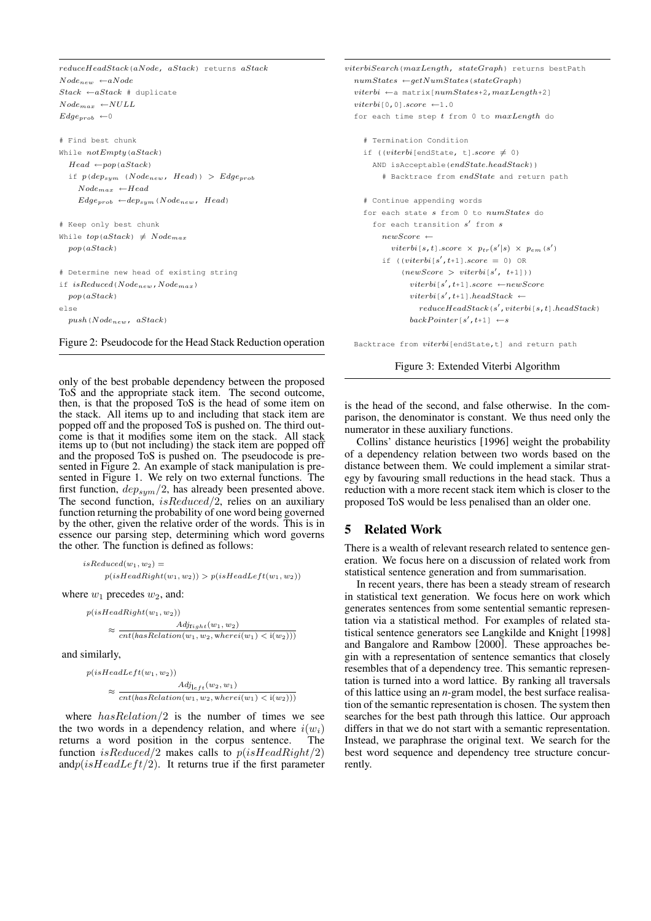reduceHeadStack(aNode, aStack) returns aStack  $Node_{new} \leftarrow aNode$  $Stack \leftarrow aStack \# \text{ duplicate}$  $Node_{max} \leftarrow NULL$  $Edge_{prob} \leftarrow 0$ # Find best chunk While  $notEmpty(aStack)$  $Head \leftarrow pop(aStack)$ if  $p(dep_{sym} (Node_{new}, Head)) > Edge_{prob}$  $Node_{max} \ \leftarrow Head$  $Edge_{prob} \leftarrow dep_{sym}(Node_{new}, Head)$ # Keep only best chunk While  $top(aStack) \neq Node_{max}$ pop(aStack) # Determine new head of existing string if  $isReduced(Node_{new},Node_{max})$  $pop\left( ask\right)$ else  $push(Node_{new}, aStack)$ 

Figure 2: Pseudocode for the Head Stack Reduction operation

only of the best probable dependency between the proposed ToS and the appropriate stack item. The second outcome, then, is that the proposed ToS is the head of some item on the stack. All items up to and including that stack item are popped off and the proposed ToS is pushed on. The third outcome is that it modifies some item on the stack. All stack items up to (but not including) the stack item are popped off and the proposed ToS is pushed on. The pseudocode is presented in Figure 2. An example of stack manipulation is presented in Figure 1. We rely on two external functions. The first function,  $dep_{sym}/2$ , has already been presented above. The second function,  $isReduced/2$ , relies on an auxiliary function returning the probability of one word being governed by the other, given the relative order of the words. This is in essence our parsing step, determining which word governs the other. The function is defined as follows:

 $isReduced(w_1, w_2) =$  $p(isHeadRight(w_1, w_2)) > p(isHeadLeft(w_1, w_2))$ 

where  $w_1$  precedes  $w_2$ , and:

```
p(isHeadRight(w_1, w_2))
```

```
\approx \frac{C}{cnt(hasRelation(w_1, w_2, where i(w_1) < i(w_2)))}Adj_{\text{right}}(w_1, w_2)
```
and similarly,

$$
p(isHeadLeft(w_1, w_2))
$$
  
\n
$$
\approx \frac{Adj_{left}(w_2, w_1)}{cnt(hasRelation(w_1, w_2, where i(w_1) < i(w_2))))}
$$

where  $hasRelation/2$  is the number of times we see the two words in a dependency relation, and where  $i(w_i)$  returns a word position in the corpus sentence. The returns a word position in the corpus sentence. function isReduced/2 makes calls to  $p(isHeadRight/2)$ and $p(isHeadLeft/2)$ . It returns true if the first parameter viterbiSearch(maxLength, stateGraph) returns bestPath  $numStates \leftarrow getNumStates(\text{stateGraph})$  $viterbi \leftarrow a \text{ matrix} \left[ numStates+2, maxLength+2 \right]$  $viterbi[0,0].score \leftarrow 1.0$ for each time step  $t$  from 0 to  $maxLength$  do # Termination Condition if  $((viterbi[endState, t].score \neq 0)$ AND isAcceptable(endState.headStack)) # Backtrace from endState and return path # Continue appending words for each state  $s$  from 0 to  $numStates$  do for each transition  $s'$  from  $s$  $newScore \leftarrow$ viterbi $[s, t]$ .score  $\times$   $p_{tr}(s'|s) \times p_{em}(s')$ if  $((viterbi[s', t+1].score = 0)$  OR  $\left(\textit{newScore}\ >\ \textit{viterbi}\, [\,s^\prime,\ \ t\text{+1}\,] \,\right)\right)$  $viterbi[s', t+1]$ .score ←newScore  $viterbi[s', t+1]$ .headStack ←  $reduceHeadStack(s',viterbi[s,t].headStack)$  $backPointer[s', t+1] \leftarrow s$ 

Backtrace from viterbi[endState,t] and return path

Figure 3: Extended Viterbi Algorithm

is the head of the second, and false otherwise. In the comparison, the denominator is constant. We thus need only the numerator in these auxiliary functions.

Collins' distance heuristics [1996] weight the probability of a dependency relation between two words based on the distance between them. We could implement a similar strategy by favouring small reductions in the head stack. Thus a reduction with a more recent stack item which is closer to the proposed ToS would be less penalised than an older one.

### **5 Related Work**

There is a wealth of relevant research related to sentence generation. We focus here on a discussion of related work from statistical sentence generation and from summarisation.

In recent years, there has been a steady stream of research in statistical text generation. We focus here on work which generates sentences from some sentential semantic representation via a statistical method. For examples of related statistical sentence generators see Langkilde and Knight [1998] and Bangalore and Rambow [2000]. These approaches begin with a representation of sentence semantics that closely resembles that of a dependency tree. This semantic representation is turned into a word lattice. By ranking all traversals of this lattice using an *n*-gram model, the best surface realisation of the semantic representation is chosen. The system then searches for the best path through this lattice. Our approach differs in that we do not start with a semantic representation. Instead, we paraphrase the original text. We search for the best word sequence and dependency tree structure concurrently.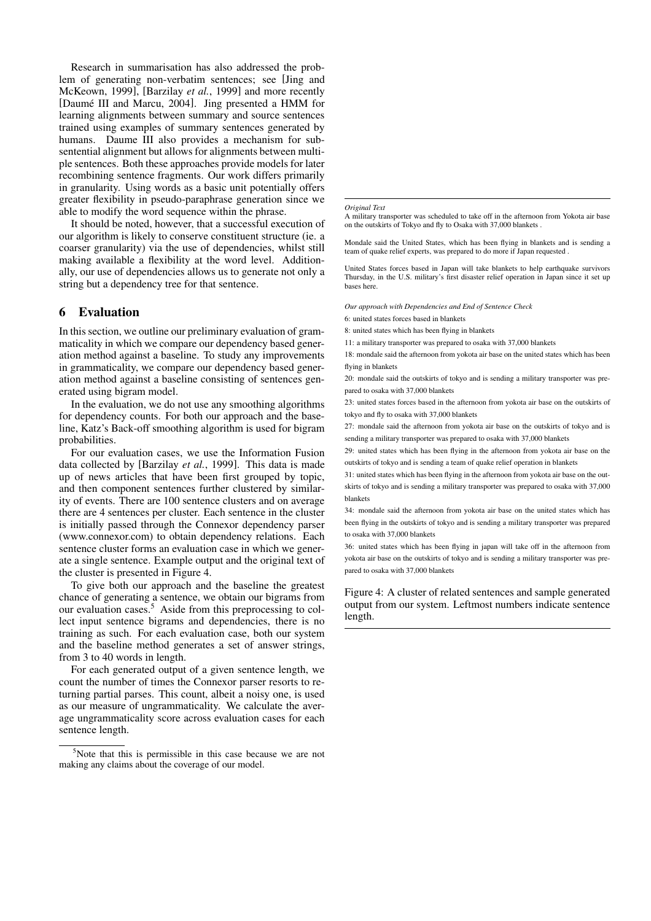Research in summarisation has also addressed the problem of generating non-verbatim sentences; see [Jing and McKeown, 1999], [Barzilay *et al.*, 1999] and more recently [Daumé III and Marcu, 2004]. Jing presented a HMM for learning alignments between summary and source sentences trained using examples of summary sentences generated by humans. Daume III also provides a mechanism for subsentential alignment but allows for alignments between multiple sentences. Both these approaches provide models for later recombining sentence fragments. Our work differs primarily in granularity. Using words as a basic unit potentially offers greater flexibility in pseudo-paraphrase generation since we able to modify the word sequence within the phrase.

It should be noted, however, that a successful execution of our algorithm is likely to conserve constituent structure (ie. a coarser granularity) via the use of dependencies, whilst still making available a flexibility at the word level. Additionally, our use of dependencies allows us to generate not only a string but a dependency tree for that sentence.

## **6 Evaluation**

In this section, we outline our preliminary evaluation of grammaticality in which we compare our dependency based generation method against a baseline. To study any improvements in grammaticality, we compare our dependency based generation method against a baseline consisting of sentences generated using bigram model.

In the evaluation, we do not use any smoothing algorithms for dependency counts. For both our approach and the baseline, Katz's Back-off smoothing algorithm is used for bigram probabilities.

For our evaluation cases, we use the Information Fusion data collected by [Barzilay *et al.*, 1999]. This data is made up of news articles that have been first grouped by topic, and then component sentences further clustered by similarity of events. There are 100 sentence clusters and on average there are 4 sentences per cluster. Each sentence in the cluster is initially passed through the Connexor dependency parser (www.connexor.com) to obtain dependency relations. Each sentence cluster forms an evaluation case in which we generate a single sentence. Example output and the original text of the cluster is presented in Figure 4.

To give both our approach and the baseline the greatest chance of generating a sentence, we obtain our bigrams from our evaluation cases.<sup>5</sup> Aside from this preprocessing to collect input sentence bigrams and dependencies, there is no training as such. For each evaluation case, both our system and the baseline method generates a set of answer strings, from 3 to 40 words in length.

For each generated output of a given sentence length, we count the number of times the Connexor parser resorts to returning partial parses. This count, albeit a noisy one, is used as our measure of ungrammaticality. We calculate the average ungrammaticality score across evaluation cases for each sentence length.

#### *Original Text*

A military transporter was scheduled to take off in the afternoon from Yokota air base on the outskirts of Tokyo and fly to Osaka with 37,000 blankets .

Mondale said the United States, which has been flying in blankets and is sending a team of quake relief experts, was prepared to do more if Japan requested .

United States forces based in Japan will take blankets to help earthquake survivors Thursday, in the U.S. military's first disaster relief operation in Japan since it set up bases here.

*Our approach with Dependencies and End of Sentence Check*

6: united states forces based in blankets

8: united states which has been flying in blankets

11: a military transporter was prepared to osaka with 37,000 blankets

18: mondale said the afternoon from yokota air base on the united states which has been flying in blankets

20: mondale said the outskirts of tokyo and is sending a military transporter was prepared to osaka with 37,000 blankets

23: united states forces based in the afternoon from yokota air base on the outskirts of tokyo and fly to osaka with 37,000 blankets

27: mondale said the afternoon from yokota air base on the outskirts of tokyo and is sending a military transporter was prepared to osaka with 37,000 blankets

29: united states which has been flying in the afternoon from yokota air base on the outskirts of tokyo and is sending a team of quake relief operation in blankets

31: united states which has been flying in the afternoon from yokota air base on the outskirts of tokyo and is sending a military transporter was prepared to osaka with 37,000 blankets

34: mondale said the afternoon from yokota air base on the united states which has been flying in the outskirts of tokyo and is sending a military transporter was prepared to osaka with 37,000 blankets

36: united states which has been flying in japan will take off in the afternoon from yokota air base on the outskirts of tokyo and is sending a military transporter was prepared to osaka with 37,000 blankets

Figure 4: A cluster of related sentences and sample generated output from our system. Leftmost numbers indicate sentence length.

<sup>5</sup>Note that this is permissible in this case because we are not making any claims about the coverage of our model.